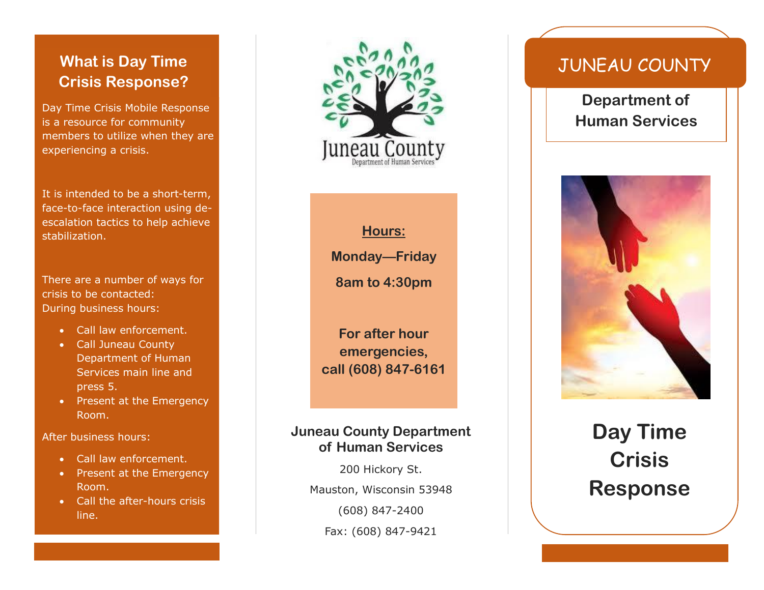## **What is Day Time Crisis Response?**

Day Time Crisis Mobile Response is a resource for community members to utilize when they are experiencing a crisis.

It is intended to be a short-term, face-to-face interaction using deescalation tactics to help achieve stabilization.

There are a number of ways for crisis to be contacted: During business hours:

- Call law enforcement.
- Call Juneau County Department of Human Services main line and press 5.
- Present at the Emergency Room.

After business hours:

- Call law enforcement.
- Present at the Emergency Room.
- Call the after-hours crisis line.



**Hours: Monday—Friday 8am to 4:30pm**

**For after hour emergencies, call (608) 847-6161**

### **Juneau County Department of Human Services**

200 Hickory St. Mauston, Wisconsin 53948 (608) 847-2400 Fax: (608) 847-9421

# JUNEAU COUNTY

**Department of Human Services**



# **Day Time Crisis Response**